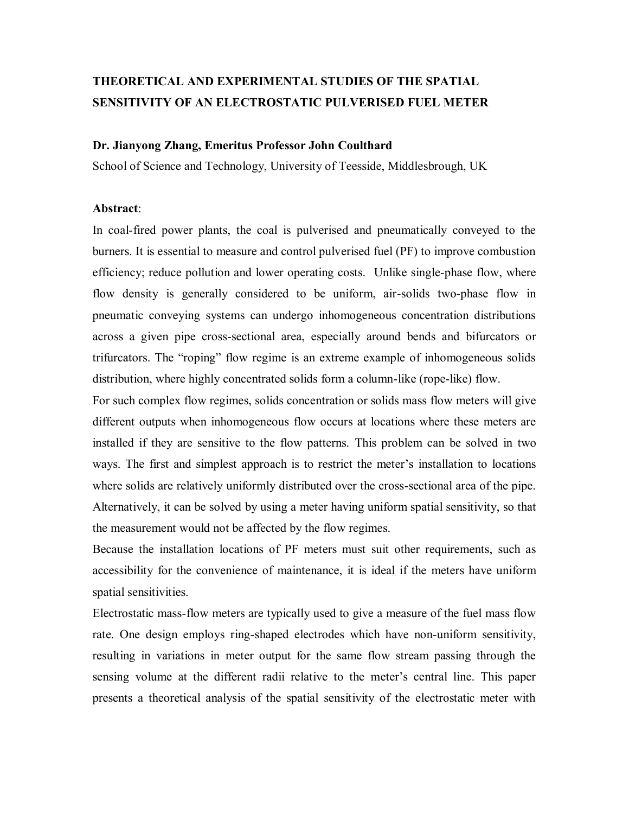# **THEORETICAL AND EXPERIMENTAL STUDIES OF THE SPATIAL SENSITIVITY OF AN ELECTROSTATIC PULVERISED FUEL METER**

#### **Dr. Jianyong Zhang, Emeritus Professor John Coulthard**

School of Science and Technology, University of Teesside, Middlesbrough, UK

#### **Abstract**:

In coal-fired power plants, the coal is pulverised and pneumatically conveyed to the burners. It is essential to measure and control pulverised fuel (PF) to improve combustion efficiency; reduce pollution and lower operating costs. Unlike single-phase flow, where flow density is generally considered to be uniform, air-solids two-phase flow in pneumatic conveying systems can undergo inhomogeneous concentration distributions across a given pipe cross-sectional area, especially around bends and bifurcators or trifurcators. The "roping" flow regime is an extreme example of inhomogeneous solids distribution, where highly concentrated solids form a column-like (rope-like) flow.

For such complex flow regimes, solids concentration or solids mass flow meters will give different outputs when inhomogeneous flow occurs at locations where these meters are installed if they are sensitive to the flow patterns. This problem can be solved in two ways. The first and simplest approach is to restrict the meter"s installation to locations where solids are relatively uniformly distributed over the cross-sectional area of the pipe. Alternatively, it can be solved by using a meter having uniform spatial sensitivity, so that the measurement would not be affected by the flow regimes.

Because the installation locations of PF meters must suit other requirements, such as accessibility for the convenience of maintenance, it is ideal if the meters have uniform spatial sensitivities.

Electrostatic mass-flow meters are typically used to give a measure of the fuel mass flow rate. One design employs ring-shaped electrodes which have non-uniform sensitivity, resulting in variations in meter output for the same flow stream passing through the sensing volume at the different radii relative to the meter's central line. This paper presents a theoretical analysis of the spatial sensitivity of the electrostatic meter with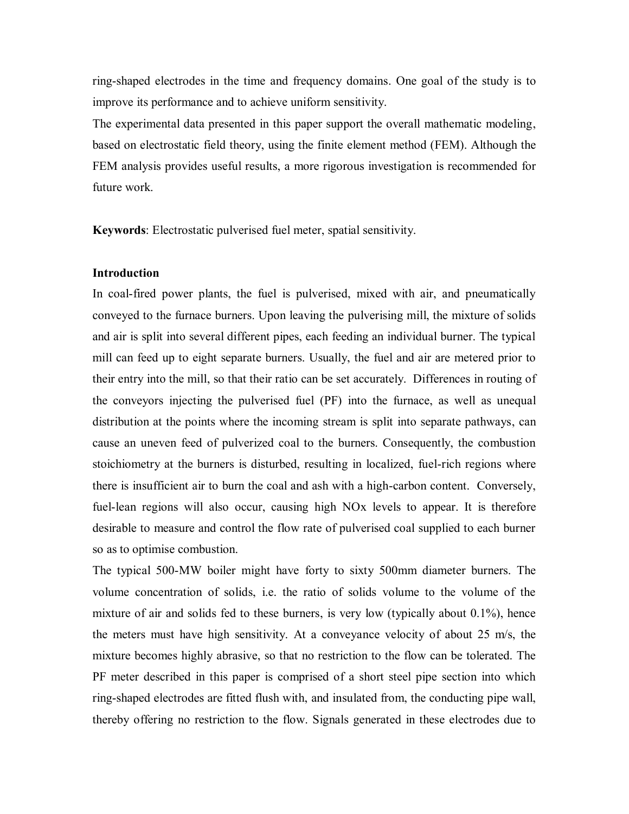ring-shaped electrodes in the time and frequency domains. One goal of the study is to improve its performance and to achieve uniform sensitivity.

The experimental data presented in this paper support the overall mathematic modeling, based on electrostatic field theory, using the finite element method (FEM). Although the FEM analysis provides useful results, a more rigorous investigation is recommended for future work.

**Keywords**: Electrostatic pulverised fuel meter, spatial sensitivity.

## **Introduction**

In coal-fired power plants, the fuel is pulverised, mixed with air, and pneumatically conveyed to the furnace burners. Upon leaving the pulverising mill, the mixture of solids and air is split into several different pipes, each feeding an individual burner. The typical mill can feed up to eight separate burners. Usually, the fuel and air are metered prior to their entry into the mill, so that their ratio can be set accurately. Differences in routing of the conveyors injecting the pulverised fuel (PF) into the furnace, as well as unequal distribution at the points where the incoming stream is split into separate pathways, can cause an uneven feed of pulverized coal to the burners. Consequently, the combustion stoichiometry at the burners is disturbed, resulting in localized, fuel-rich regions where there is insufficient air to burn the coal and ash with a high-carbon content. Conversely, fuel-lean regions will also occur, causing high NOx levels to appear. It is therefore desirable to measure and control the flow rate of pulverised coal supplied to each burner so as to optimise combustion.

The typical 500-MW boiler might have forty to sixty 500mm diameter burners. The volume concentration of solids, i.e. the ratio of solids volume to the volume of the mixture of air and solids fed to these burners, is very low (typically about 0.1%), hence the meters must have high sensitivity. At a conveyance velocity of about 25 m/s, the mixture becomes highly abrasive, so that no restriction to the flow can be tolerated. The PF meter described in this paper is comprised of a short steel pipe section into which ring-shaped electrodes are fitted flush with, and insulated from, the conducting pipe wall, thereby offering no restriction to the flow. Signals generated in these electrodes due to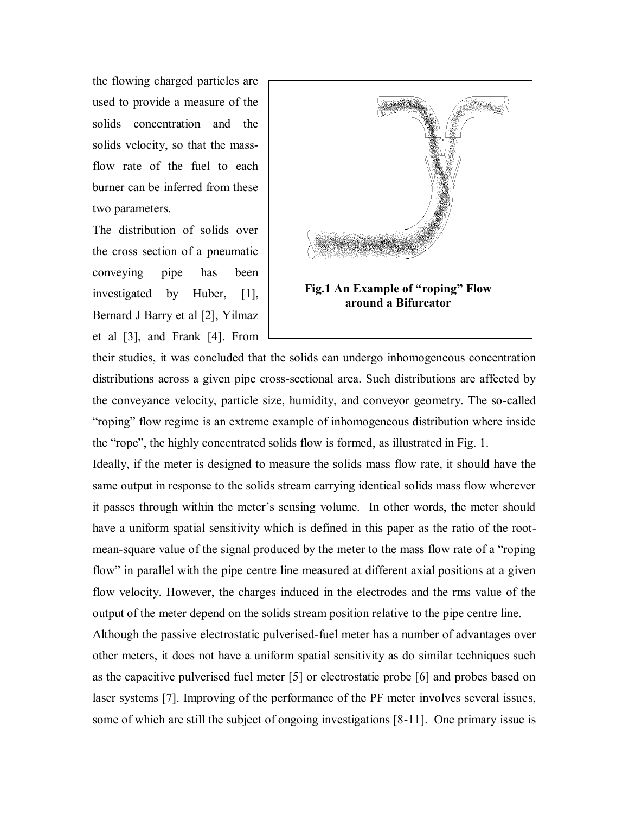the flowing charged particles are used to provide a measure of the solids concentration and the solids velocity, so that the massflow rate of the fuel to each burner can be inferred from these two parameters.

The distribution of solids over the cross section of a pneumatic conveying pipe has been investigated by Huber, [1], Bernard J Barry et al [2], Yilmaz et al [3], and Frank [4]. From



their studies, it was concluded that the solids can undergo inhomogeneous concentration distributions across a given pipe cross-sectional area. Such distributions are affected by the conveyance velocity, particle size, humidity, and conveyor geometry. The so-called "roping" flow regime is an extreme example of inhomogeneous distribution where inside the "rope", the highly concentrated solids flow is formed, as illustrated in Fig. 1.

Ideally, if the meter is designed to measure the solids mass flow rate, it should have the same output in response to the solids stream carrying identical solids mass flow wherever it passes through within the meter"s sensing volume. In other words, the meter should have a uniform spatial sensitivity which is defined in this paper as the ratio of the rootmean-square value of the signal produced by the meter to the mass flow rate of a "roping flow" in parallel with the pipe centre line measured at different axial positions at a given flow velocity. However, the charges induced in the electrodes and the rms value of the output of the meter depend on the solids stream position relative to the pipe centre line.

Although the passive electrostatic pulverised-fuel meter has a number of advantages over other meters, it does not have a uniform spatial sensitivity as do similar techniques such as the capacitive pulverised fuel meter [5] or electrostatic probe [6] and probes based on laser systems [7]. Improving of the performance of the PF meter involves several issues, some of which are still the subject of ongoing investigations [8-11]. One primary issue is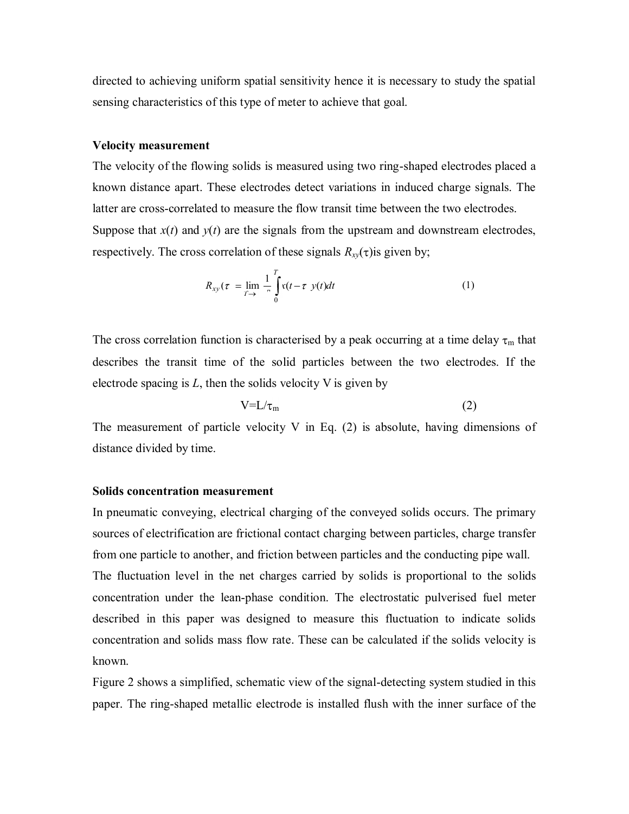directed to achieving uniform spatial sensitivity hence it is necessary to study the spatial sensing characteristics of this type of meter to achieve that goal.

#### **Velocity measurement**

The velocity of the flowing solids is measured using two ring-shaped electrodes placed a known distance apart. These electrodes detect variations in induced charge signals. The latter are cross-correlated to measure the flow transit time between the two electrodes. Suppose that  $x(t)$  and  $y(t)$  are the signals from the upstream and downstream electrodes, respectively. The cross correlation of these signals  $R_{xy}(\tau)$  is given by;

$$
R_{xy}(\tau) = \lim_{T \to 0} \frac{1}{\tau} \int_{0}^{T} \mathfrak{r}(t - \tau) y(t) dt \tag{1}
$$

The cross correlation function is characterised by a peak occurring at a time delay  $\tau_m$  that describes the transit time of the solid particles between the two electrodes. If the electrode spacing is *L*, then the solids velocity V is given by

$$
V = L/\tau_m \tag{2}
$$

The measurement of particle velocity V in Eq.  $(2)$  is absolute, having dimensions of distance divided by time.

#### **Solids concentration measurement**

In pneumatic conveying, electrical charging of the conveyed solids occurs. The primary sources of electrification are frictional contact charging between particles, charge transfer from one particle to another, and friction between particles and the conducting pipe wall. The fluctuation level in the net charges carried by solids is proportional to the solids concentration under the lean-phase condition. The electrostatic pulverised fuel meter described in this paper was designed to measure this fluctuation to indicate solids concentration and solids mass flow rate. These can be calculated if the solids velocity is known.

Figure 2 shows a simplified, schematic view of the signal-detecting system studied in this paper. The ring-shaped metallic electrode is installed flush with the inner surface of the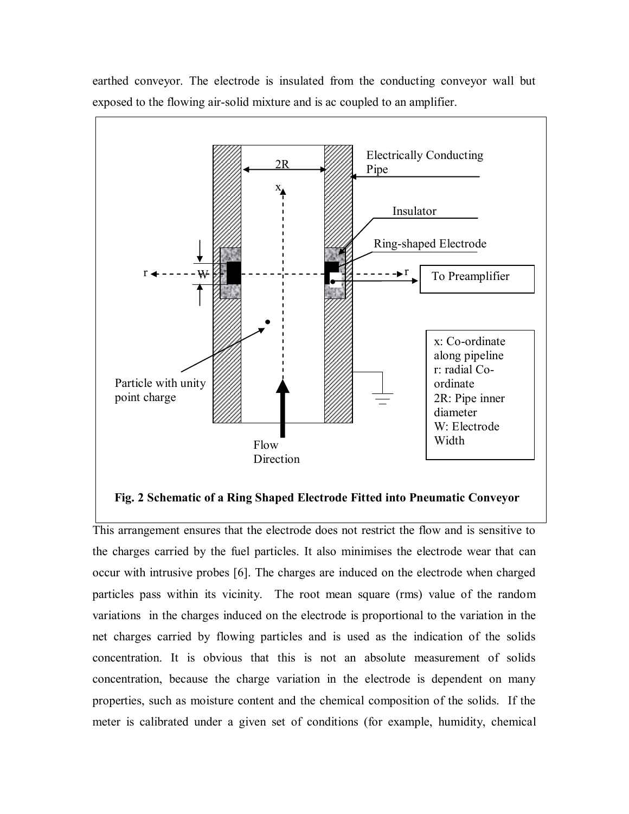

earthed conveyor. The electrode is insulated from the conducting conveyor wall but exposed to the flowing air-solid mixture and is ac coupled to an amplifier.

#### **Fig. 2 Schematic of a Ring Shaped Electrode Fitted into Pneumatic Conveyor**

This arrangement ensures that the electrode does not restrict the flow and is sensitive to the charges carried by the fuel particles. It also minimises the electrode wear that can occur with intrusive probes [6]. The charges are induced on the electrode when charged particles pass within its vicinity. The root mean square (rms) value of the random variations in the charges induced on the electrode is proportional to the variation in the net charges carried by flowing particles and is used as the indication of the solids concentration. It is obvious that this is not an absolute measurement of solids concentration, because the charge variation in the electrode is dependent on many properties, such as moisture content and the chemical composition of the solids. If the meter is calibrated under a given set of conditions (for example, humidity, chemical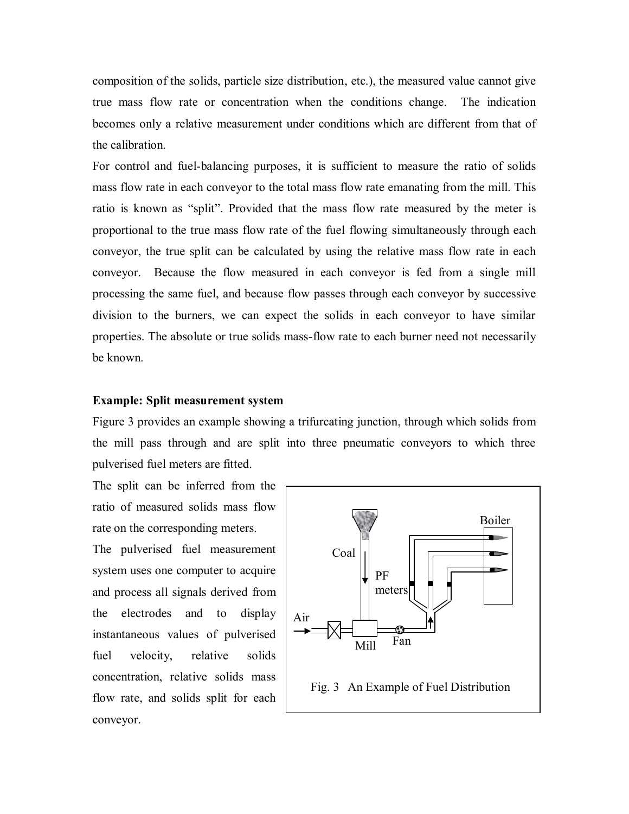composition of the solids, particle size distribution, etc.), the measured value cannot give true mass flow rate or concentration when the conditions change. The indication becomes only a relative measurement under conditions which are different from that of the calibration.

For control and fuel-balancing purposes, it is sufficient to measure the ratio of solids mass flow rate in each conveyor to the total mass flow rate emanating from the mill. This ratio is known as "split". Provided that the mass flow rate measured by the meter is proportional to the true mass flow rate of the fuel flowing simultaneously through each conveyor, the true split can be calculated by using the relative mass flow rate in each conveyor. Because the flow measured in each conveyor is fed from a single mill processing the same fuel, and because flow passes through each conveyor by successive division to the burners, we can expect the solids in each conveyor to have similar properties. The absolute or true solids mass-flow rate to each burner need not necessarily be known.

### **Example: Split measurement system**

Figure 3 provides an example showing a trifurcating junction, through which solids from the mill pass through and are split into three pneumatic conveyors to which three pulverised fuel meters are fitted.

The split can be inferred from the ratio of measured solids mass flow rate on the corresponding meters. The pulverised fuel measurement system uses one computer to acquire and process all signals derived from the electrodes and to display instantaneous values of pulverised fuel velocity, relative solids concentration, relative solids mass flow rate, and solids split for each conveyor.

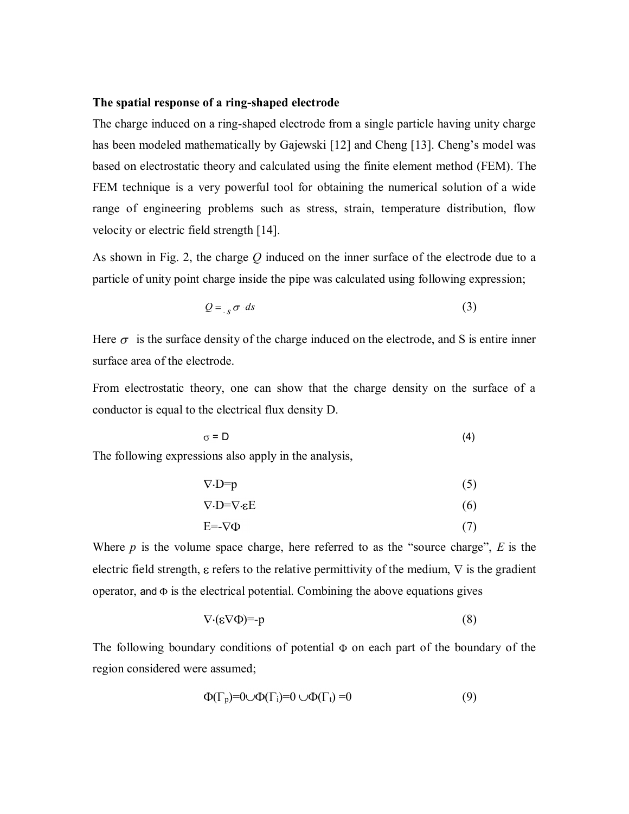#### **The spatial response of a ring-shaped electrode**

The charge induced on a ring-shaped electrode from a single particle having unity charge has been modeled mathematically by Gajewski [12] and Cheng [13]. Cheng's model was based on electrostatic theory and calculated using the finite element method (FEM). The FEM technique is a very powerful tool for obtaining the numerical solution of a wide range of engineering problems such as stress, strain, temperature distribution, flow velocity or electric field strength [14].

As shown in Fig. 2, the charge *Q* induced on the inner surface of the electrode due to a particle of unity point charge inside the pipe was calculated using following expression;

$$
Q = \n \int_{S} \sigma \, ds \tag{3}
$$

Here  $\sigma$  is the surface density of the charge induced on the electrode, and S is entire inner surface area of the electrode.

From electrostatic theory, one can show that the charge density on the surface of a conductor is equal to the electrical flux density D.

$$
\sigma = D \tag{4}
$$

The following expressions also apply in the analysis,

$$
\nabla \cdot \mathbf{D} = \mathbf{p} \tag{5}
$$

$$
\nabla \cdot \mathbf{D} = \nabla \cdot \mathbf{E} \tag{6}
$$

$$
E = -\nabla \Phi \tag{7}
$$

Where *p* is the volume space charge, here referred to as the "source charge", *E* is the electric field strength,  $\varepsilon$  refers to the relative permittivity of the medium,  $\nabla$  is the gradient operator, and  $\Phi$  is the electrical potential. Combining the above equations gives

$$
\nabla \cdot (\varepsilon \nabla \Phi) = -p \tag{8}
$$

The following boundary conditions of potential  $\Phi$  on each part of the boundary of the region considered were assumed;

$$
\Phi(\Gamma_p)=0\ \ \Phi(\Gamma_i)=0\ \ \Theta(\Gamma_t)=0\tag{9}
$$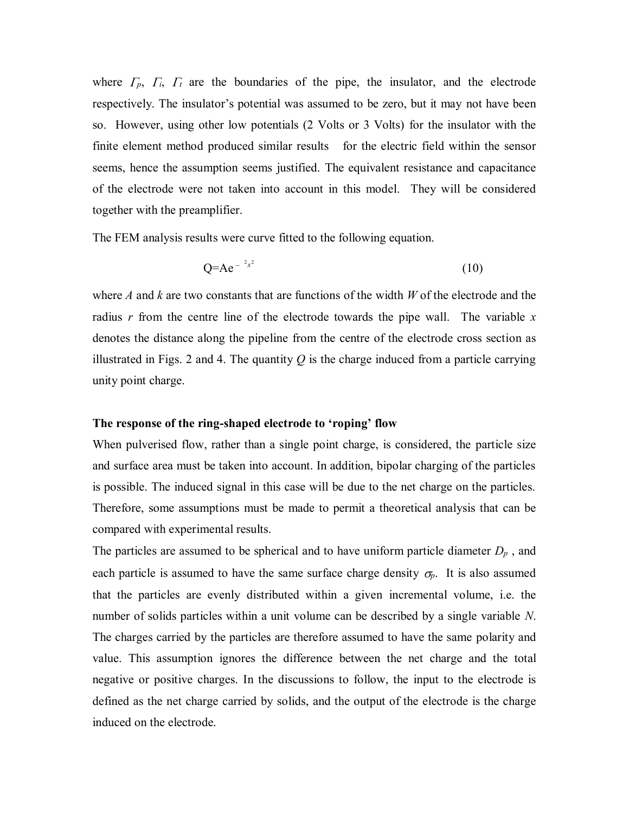where  $\Gamma_p$ ,  $\Gamma_i$ ,  $\Gamma_t$  are the boundaries of the pipe, the insulator, and the electrode respectively. The insulator's potential was assumed to be zero, but it may not have been so. However, using other low potentials (2 Volts or 3 Volts) for the insulator with the finite element method produced similar results for the electric field within the sensor seems, hence the assumption seems justified. The equivalent resistance and capacitance of the electrode were not taken into account in this model. They will be considered together with the preamplifier.

The FEM analysis results were curve fitted to the following equation.

$$
Q=Ae^{-2x^2}
$$
 (10)

where *A* and *k* are two constants that are functions of the width *W* of the electrode and the radius *r* from the centre line of the electrode towards the pipe wall. The variable *x* denotes the distance along the pipeline from the centre of the electrode cross section as illustrated in Figs. 2 and 4. The quantity  $Q$  is the charge induced from a particle carrying unity point charge.

#### **The response of the ring-shaped electrode to "roping" flow**

When pulverised flow, rather than a single point charge, is considered, the particle size and surface area must be taken into account. In addition, bipolar charging of the particles is possible. The induced signal in this case will be due to the net charge on the particles. Therefore, some assumptions must be made to permit a theoretical analysis that can be compared with experimental results.

The particles are assumed to be spherical and to have uniform particle diameter *Dp* , and each particle is assumed to have the same surface charge density  $\sigma_p$ . It is also assumed that the particles are evenly distributed within a given incremental volume, i.e. the number of solids particles within a unit volume can be described by a single variable *N*. The charges carried by the particles are therefore assumed to have the same polarity and value. This assumption ignores the difference between the net charge and the total negative or positive charges. In the discussions to follow, the input to the electrode is defined as the net charge carried by solids, and the output of the electrode is the charge induced on the electrode.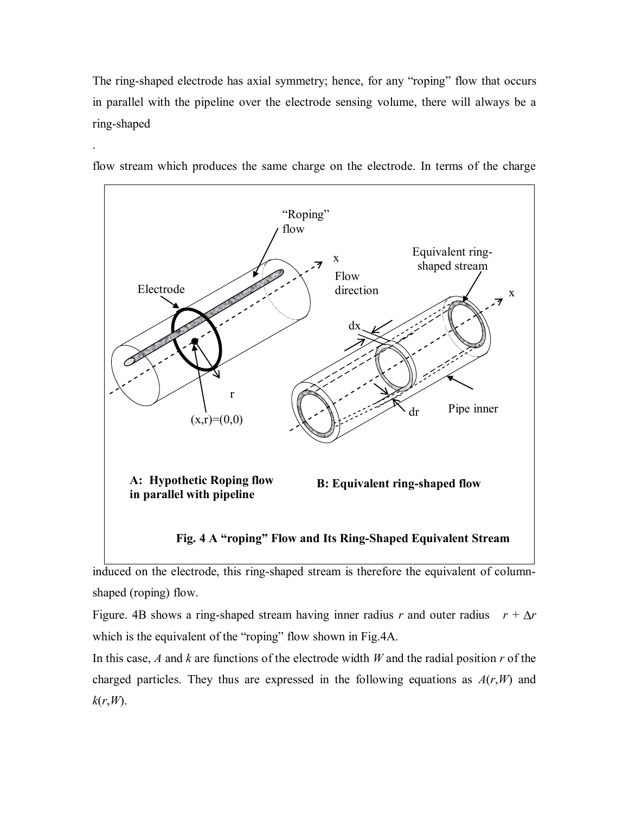The ring-shaped electrode has axial symmetry; hence, for any "roping" flow that occurs in parallel with the pipeline over the electrode sensing volume, there will always be a ring-shaped



flow stream which produces the same charge on the electrode. In terms of the charge

.

induced on the electrode, this ring-shaped stream is therefore the equivalent of columnshaped (roping) flow.

Figure. 4B shows a ring-shaped stream having inner radius *r* and outer radius  $r + \Delta r$ which is the equivalent of the "roping" flow shown in Fig.4A.

In this case, *A* and *k* are functions of the electrode width *W* and the radial position *r* of the charged particles. They thus are expressed in the following equations as  $A(r, W)$  and *k*(*r*,*W*).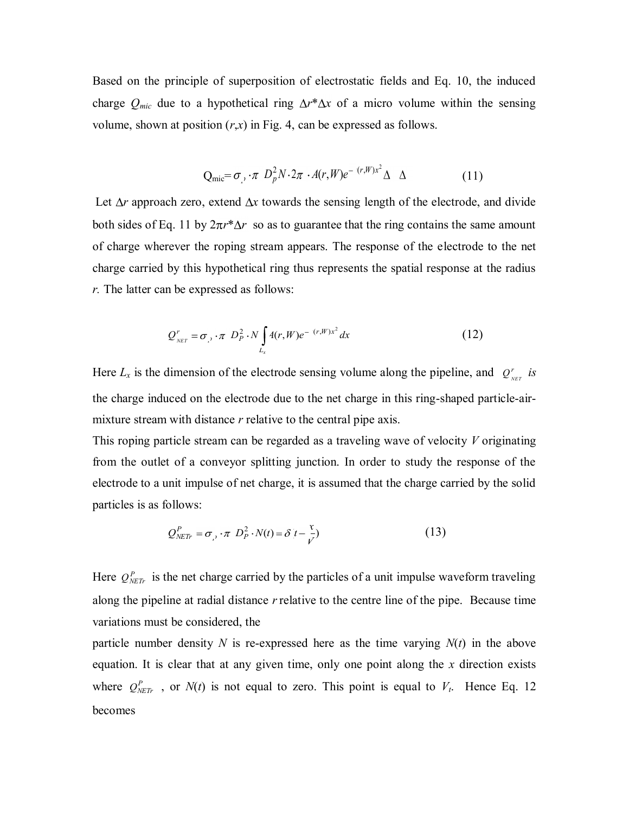Based on the principle of superposition of electrostatic fields and Eq. 10, the induced charge  $Q_{mic}$  due to a hypothetical ring  $\Delta r^* \Delta x$  of a micro volume within the sensing volume, shown at position  $(r, x)$  in Fig. 4, can be expressed as follows.

$$
Q_{\text{mic}} = \sigma_{\gamma} \cdot \pi \ D_{p}^{2} N \cdot 2\pi \cdot A(r, W) e^{-\ (r, W)x^{2}} \Delta \Delta \qquad (11)
$$

Let  $\Delta r$  approach zero, extend  $\Delta x$  towards the sensing length of the electrode, and divide both sides of Eq. 11 by  $2\pi r^* \Delta r$  so as to guarantee that the ring contains the same amount of charge wherever the roping stream appears. The response of the electrode to the net charge carried by this hypothetical ring thus represents the spatial response at the radius *r.* The latter can be expressed as follows:

$$
Q'_{_{NET}} = \sigma_{,'} \cdot \pi \ D_P^2 \cdot N \int_{L_x} 4(r, W) e^{-(r, W)x^2} dx \qquad (12)
$$

Here  $L_x$  is the dimension of the electrode sensing volume along the pipeline, and  $Q_x^r$  $Q_{_{NET}}^r$  *is* the charge induced on the electrode due to the net charge in this ring-shaped particle-airmixture stream with distance *r* relative to the central pipe axis.

This roping particle stream can be regarded as a traveling wave of velocity *V* originating from the outlet of a conveyor splitting junction. In order to study the response of the electrode to a unit impulse of net charge, it is assumed that the charge carried by the solid particles is as follows:

$$
Q_{NETr}^P = \sigma_{i'} \cdot \pi \ D_P^2 \cdot N(t) = \delta \left( t - \frac{\tau}{\nu'} \right)
$$
 (13)

Here  $Q_{NETr}^P$  is the net charge carried by the particles of a unit impulse waveform traveling along the pipeline at radial distance *r*relative to the centre line of the pipe. Because time variations must be considered, the

particle number density  $N$  is re-expressed here as the time varying  $N(t)$  in the above equation. It is clear that at any given time, only one point along the *x* direction exists where  $Q_{NETr}^P$ , or  $N(t)$  is not equal to zero. This point is equal to  $V_t$ . Hence Eq. 12 becomes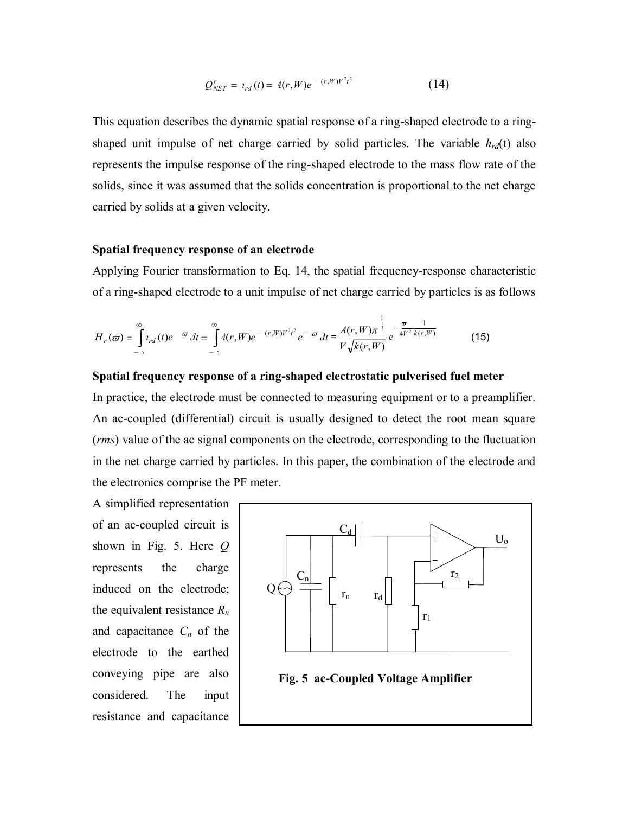$$
Q_{NET}^r = \iota_{rd}(t) = 4(r, W)e^{-(r, W)V^2t^2}
$$
 (14)

This equation describes the dynamic spatial response of a ring-shaped electrode to a ringshaped unit impulse of net charge carried by solid particles. The variable  $h_{rd}(t)$  also represents the impulse response of the ring-shaped electrode to the mass flow rate of the solids, since it was assumed that the solids concentration is proportional to the net charge carried by solids at a given velocity.

#### **Spatial frequency response of an electrode**

Applying Fourier transformation to Eq. 14, the spatial frequency-response characteristic of a ring-shaped electrode to a unit impulse of net charge carried by particles is as follows

$$
H_r(\varpi) = \int_{-\infty}^{\infty} i_{rd}(t)e^{-\varpi} dt = \int_{-\infty}^{\infty} 4(r, W)e^{-(r, W)V^2t^2} e^{-\varpi} dt = \frac{A(r, W)\pi^{\frac{1}{2}}}{V\sqrt{k(r, W)}} e^{-\frac{\pi}{4V^2}\frac{1}{k(r, W)}} \tag{15}
$$

#### **Spatial frequency response of a ring-shaped electrostatic pulverised fuel meter**

In practice, the electrode must be connected to measuring equipment or to a preamplifier. An ac-coupled (differential) circuit is usually designed to detect the root mean square (*rms*) value of the ac signal components on the electrode, corresponding to the fluctuation in the net charge carried by particles. In this paper, the combination of the electrode and the electronics comprise the PF meter.

A simplified representation of an ac-coupled circuit is shown in Fig. 5. Here *Q* represents the charge induced on the electrode; the equivalent resistance *R<sup>n</sup>* and capacitance *Cn* of the electrode to the earthed conveying pipe are also considered. The input resistance and capacitance

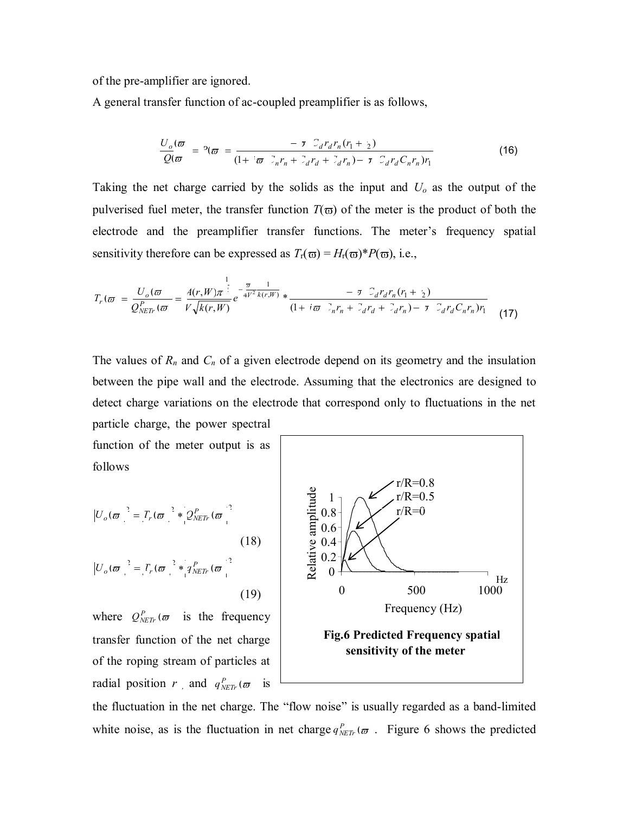of the pre-amplifier are ignored.

A general transfer function of ac-coupled preamplifier is as follows,

$$
\frac{U_o(\varpi)}{Q(\varpi)} = P(\varpi) = \frac{-\tau C_d r_d r_n (r_1 + r_2)}{(1 + i\varpi C_n r_n + C_d r_d + C_d r_n) - \tau C_d r_d C_n r_n) r_1}
$$
(16)

Taking the net charge carried by the solids as the input and *Uo* as the output of the pulverised fuel meter, the transfer function  $T(\bar{\omega})$  of the meter is the product of both the electrode and the preamplifier transfer functions. The meter's frequency spatial sensitivity therefore can be expressed as  $T_r(\omega) = H_r(\omega) * P(\omega)$ , i.e.,

$$
T_r(\varpi) = \frac{U_o(\varpi)}{Q_{NETr}^{P}(\varpi)} = \frac{A(r, W)\pi^{\frac{1}{2}}}{V\sqrt{k(r, W)}} e^{-\frac{\varpi}{4V^2} \frac{1}{k(r, W)}} * \frac{-\tau C_d r_d r_n (r_1 + r_2)}{(1 + i\varpi C_n r_n + C_d r_d + C_d r_n) - \tau C_d r_d C_n r_n)r_1}
$$
(17)

The values of  $R_n$  and  $C_n$  of a given electrode depend on its geometry and the insulation between the pipe wall and the electrode. Assuming that the electronics are designed to detect charge variations on the electrode that correspond only to fluctuations in the net particle charge, the power spectral

function of the meter output is as follows

$$
|U_o(\boldsymbol{\varpi})|^2 = T_r(\boldsymbol{\varpi})^2 * Q_{NETr}^P(\boldsymbol{\varpi})^2
$$
\n
$$
|U_o(\boldsymbol{\varpi})|^2 = T_r(\boldsymbol{\varpi})^2 * q_{NETr}^P(\boldsymbol{\varpi})^2
$$
\n(18)

where  $Q_{NETr}^P(\varpi)$  is the frequency transfer function of the net charge of the roping stream of particles at radial position *r*, and  $q_{NETr}^P(\varpi)$  is



the fluctuation in the net charge. The "flow noise" is usually regarded as a band-limited white noise, as is the fluctuation in net charge  $q_{NETr}^P(\varpi)$ . Figure 6 shows the predicted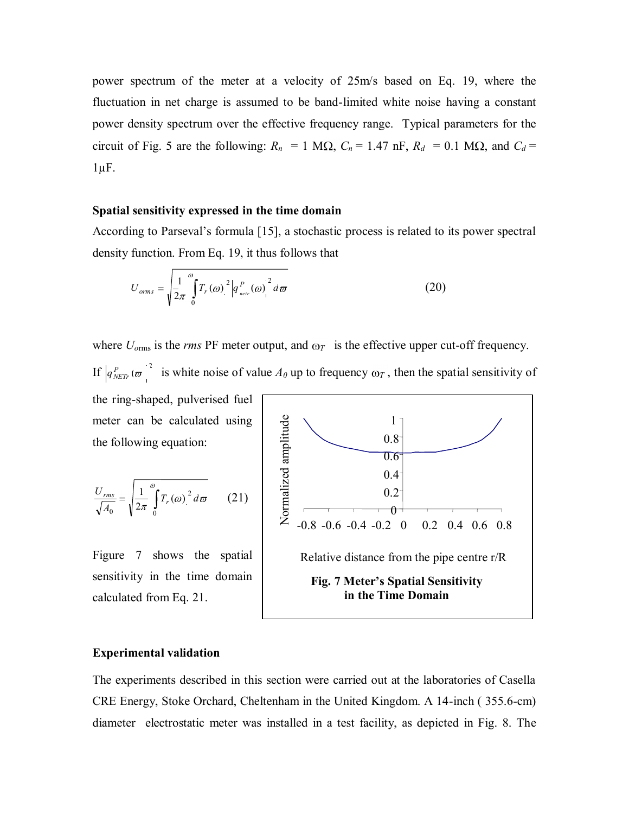power spectrum of the meter at a velocity of 25m/s based on Eq. 19, where the fluctuation in net charge is assumed to be band-limited white noise having a constant power density spectrum over the effective frequency range. Typical parameters for the circuit of Fig. 5 are the following:  $R_n = 1$  M $\Omega$ ,  $C_n = 1.47$  nF,  $R_d = 0.1$  M $\Omega$ , and  $C_d =$  $1 \mu F$ .

## **Spatial sensitivity expressed in the time domain**

According to Parseval"s formula [15], a stochastic process is related to its power spectral density function. From Eq. 19, it thus follows that

$$
U_{orms} = \sqrt{\frac{1}{2\pi} \int_{0}^{\omega} T_r(\omega)^2 \left| q_{\text{neir}}^P(\omega) \right|^2 d\omega}
$$
 (20)

where  $U_{\text{orms}}$  is the *rms* PF meter output, and  $\omega_T$  is the effective upper cut-off frequency.

If  $|q_{NETr}^P(\varpi)|^2$  is white noise of value  $A_0$  up to frequency  $\omega_T$ , then the spatial sensitivity of

the ring-shaped, pulverised fuel meter can be calculated using the following equation:

$$
\frac{U_{rms}}{\sqrt{A_0}} = \sqrt{\frac{1}{2\pi} \int_0^\infty T_r(\omega)^2 d\omega}
$$
 (21)

Figure 7 shows the spatial sensitivity in the time domain calculated from Eq. 21.



#### **Experimental validation**

The experiments described in this section were carried out at the laboratories of Casella CRE Energy, Stoke Orchard, Cheltenham in the United Kingdom. A 14-inch ( 355.6-cm) diameter electrostatic meter was installed in a test facility, as depicted in Fig. 8. The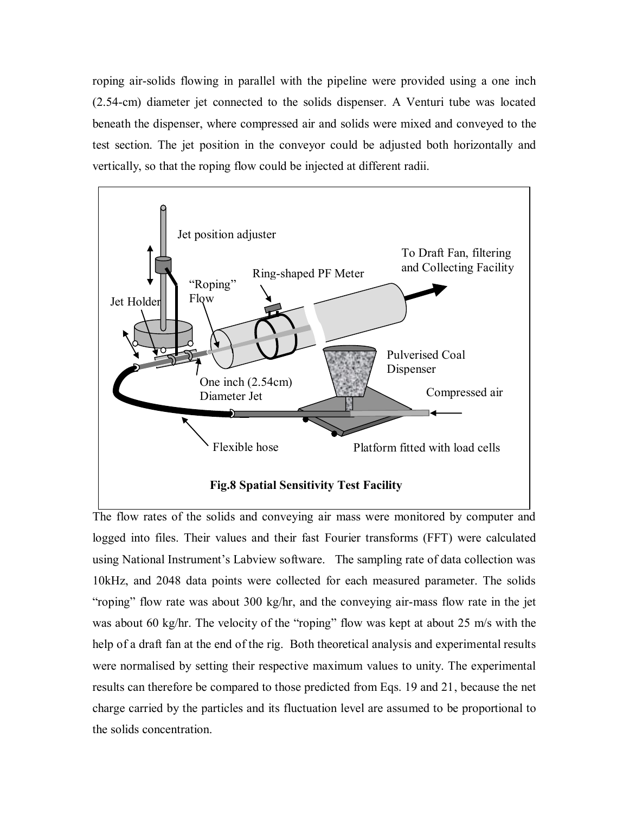roping air-solids flowing in parallel with the pipeline were provided using a one inch (2.54-cm) diameter jet connected to the solids dispenser. A Venturi tube was located beneath the dispenser, where compressed air and solids were mixed and conveyed to the test section. The jet position in the conveyor could be adjusted both horizontally and vertically, so that the roping flow could be injected at different radii.



The flow rates of the solids and conveying air mass were monitored by computer and logged into files. Their values and their fast Fourier transforms (FFT) were calculated using National Instrument's Labview software. The sampling rate of data collection was 10kHz, and 2048 data points were collected for each measured parameter. The solids "roping" flow rate was about 300 kg/hr, and the conveying air-mass flow rate in the jet was about 60 kg/hr. The velocity of the "roping" flow was kept at about 25 m/s with the help of a draft fan at the end of the rig. Both theoretical analysis and experimental results were normalised by setting their respective maximum values to unity. The experimental results can therefore be compared to those predicted from Eqs. 19 and 21, because the net charge carried by the particles and its fluctuation level are assumed to be proportional to the solids concentration.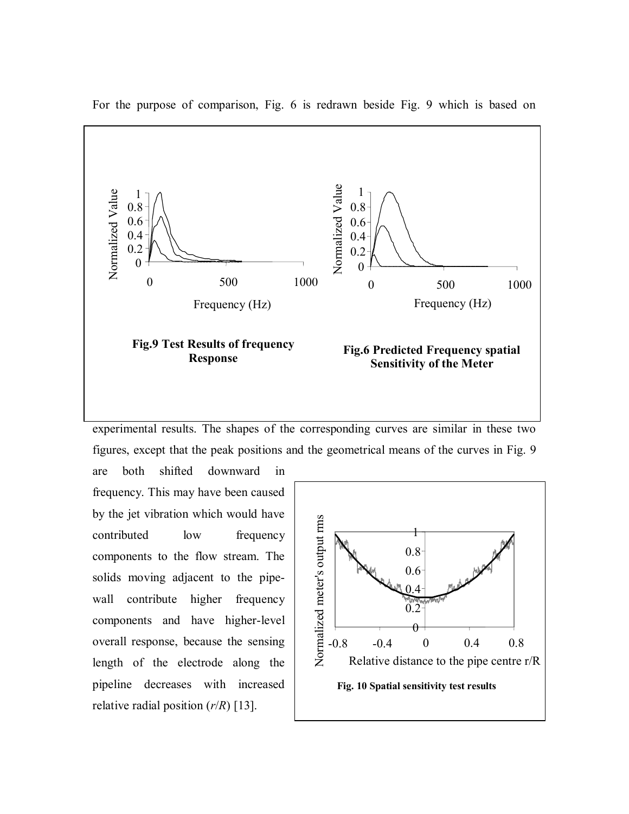

For the purpose of comparison, Fig. 6 is redrawn beside Fig. 9 which is based on

experimental results. The shapes of the corresponding curves are similar in these two figures, except that the peak positions and the geometrical means of the curves in Fig. 9

are both shifted downward in frequency. This may have been caused by the jet vibration which would have contributed low frequency components to the flow stream. The solids moving adjacent to the pipewall contribute higher frequency components and have higher-level overall response, because the sensing length of the electrode along the pipeline decreases with increased relative radial position (*r*/*R*) [13].

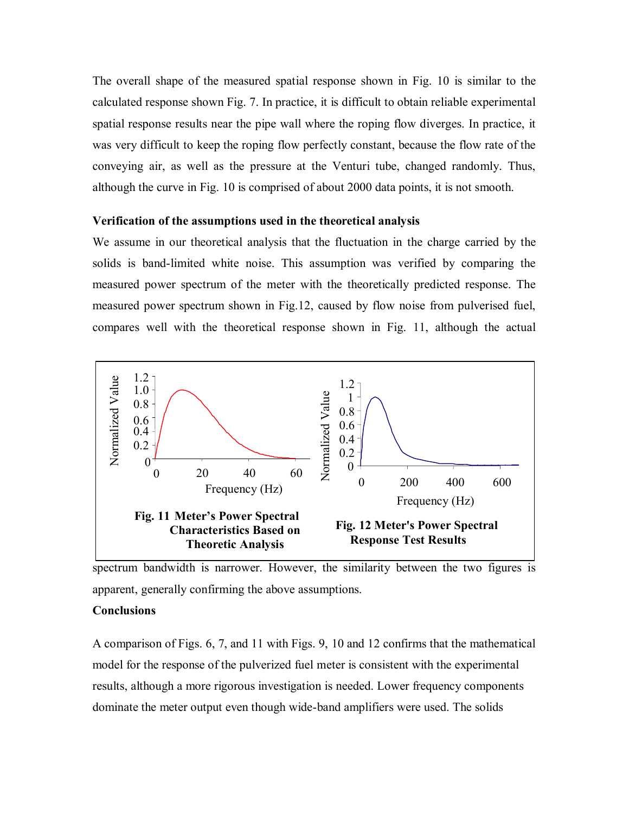The overall shape of the measured spatial response shown in Fig. 10 is similar to the calculated response shown Fig. 7. In practice, it is difficult to obtain reliable experimental spatial response results near the pipe wall where the roping flow diverges. In practice, it was very difficult to keep the roping flow perfectly constant, because the flow rate of the conveying air, as well as the pressure at the Venturi tube, changed randomly. Thus, although the curve in Fig. 10 is comprised of about 2000 data points, it is not smooth.

#### **Verification of the assumptions used in the theoretical analysis**

We assume in our theoretical analysis that the fluctuation in the charge carried by the solids is band-limited white noise. This assumption was verified by comparing the measured power spectrum of the meter with the theoretically predicted response. The measured power spectrum shown in Fig.12, caused by flow noise from pulverised fuel, compares well with the theoretical response shown in Fig. 11, although the actual



spectrum bandwidth is narrower. However, the similarity between the two figures is apparent, generally confirming the above assumptions.

#### **Conclusions**

A comparison of Figs. 6, 7, and 11 with Figs. 9, 10 and 12 confirms that the mathematical model for the response of the pulverized fuel meter is consistent with the experimental results, although a more rigorous investigation is needed. Lower frequency components dominate the meter output even though wide-band amplifiers were used. The solids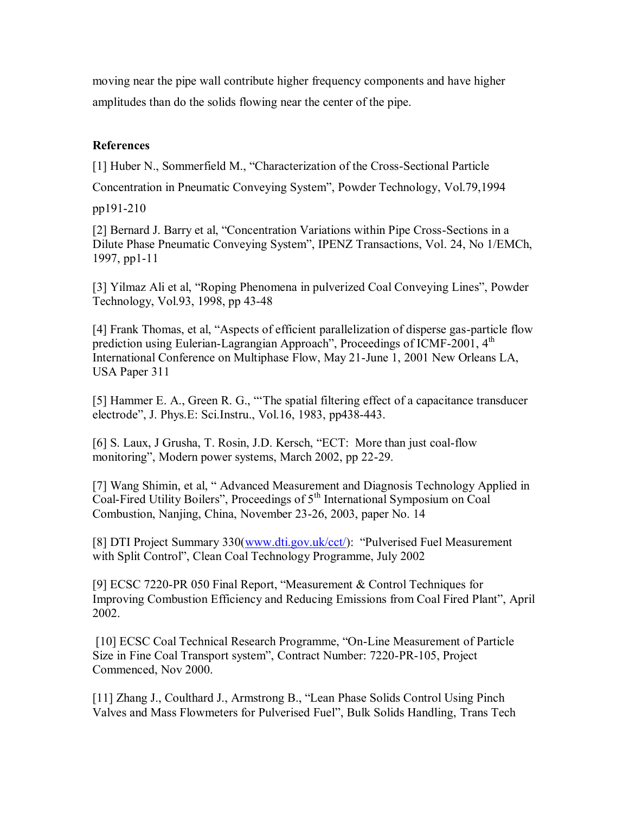moving near the pipe wall contribute higher frequency components and have higher amplitudes than do the solids flowing near the center of the pipe.

## **References**

[1] Huber N., Sommerfield M., "Characterization of the Cross-Sectional Particle

Concentration in Pneumatic Conveying System", Powder Technology, Vol.79,1994

pp191-210

[2] Bernard J. Barry et al, "Concentration Variations within Pipe Cross-Sections in a Dilute Phase Pneumatic Conveying System", IPENZ Transactions, Vol. 24, No 1/EMCh, 1997, pp1-11

[3] Yilmaz Ali et al, "Roping Phenomena in pulverized Coal Conveying Lines", Powder Technology, Vol.93, 1998, pp 43-48

[4] Frank Thomas, et al, "Aspects of efficient parallelization of disperse gas-particle flow prediction using Eulerian-Lagrangian Approach", Proceedings of ICMF-2001, 4<sup>th</sup> International Conference on Multiphase Flow, May 21-June 1, 2001 New Orleans LA, USA Paper 311

[5] Hammer E. A., Green R. G., ""The spatial filtering effect of a capacitance transducer electrode", J. Phys.E: Sci.Instru., Vol.16, 1983, pp438-443.

[6] S. Laux, J Grusha, T. Rosin, J.D. Kersch, "ECT: More than just coal-flow monitoring", Modern power systems, March 2002, pp 22-29.

[7] Wang Shimin, et al, " Advanced Measurement and Diagnosis Technology Applied in Coal-Fired Utility Boilers", Proceedings of 5th International Symposium on Coal Combustion, Nanjing, China, November 23-26, 2003, paper No. 14

[8] DTI Project Summary 330[\(www.dti.gov.uk/cct/](http://www.dti.gov.uk/cct/)): "Pulverised Fuel Measurement with Split Control", Clean Coal Technology Programme, July 2002

[9] ECSC 7220-PR 050 Final Report, "Measurement & Control Techniques for Improving Combustion Efficiency and Reducing Emissions from Coal Fired Plant", April 2002.

[10] ECSC Coal Technical Research Programme, "On-Line Measurement of Particle Size in Fine Coal Transport system", Contract Number: 7220-PR-105, Project Commenced, Nov 2000.

[11] Zhang J., Coulthard J., Armstrong B., "Lean Phase Solids Control Using Pinch Valves and Mass Flowmeters for Pulverised Fuel", Bulk Solids Handling, Trans Tech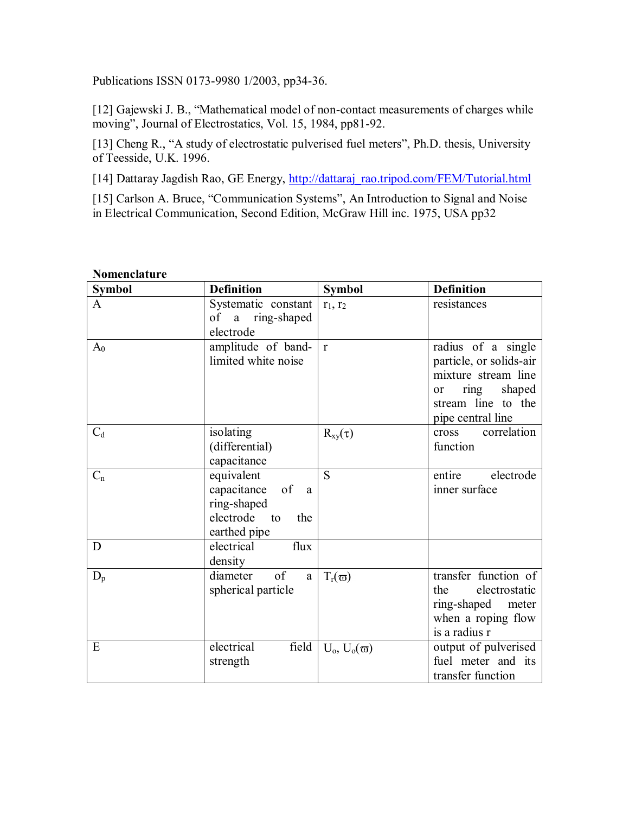Publications ISSN 0173-9980 1/2003, pp34-36.

[12] Gajewski J. B., "Mathematical model of non-contact measurements of charges while moving", Journal of Electrostatics, Vol. 15, 1984, pp81-92.

[13] Cheng R., "A study of electrostatic pulverised fuel meters", Ph.D. thesis, University of Teesside, U.K. 1996.

[14] Dattaray Jagdish Rao, GE Energy, [http://dattaraj\\_rao.tripod.com/FEM/Tutorial.html](http://dattaraj_rao.tripod.com/FEM/Tutorial.html)

[15] Carlson A. Bruce, "Communication Systems", An Introduction to Signal and Noise in Electrical Communication, Second Edition, McGraw Hill inc. 1975, USA pp32

| <b>Symbol</b>  | <b>Definition</b>                                                                                     | <b>Symbol</b>      | <b>Definition</b>                                                                                                                                  |
|----------------|-------------------------------------------------------------------------------------------------------|--------------------|----------------------------------------------------------------------------------------------------------------------------------------------------|
| A              | Systematic constant<br>of a ring-shaped<br>electrode                                                  | $r_1, r_2$         | resistances                                                                                                                                        |
| A <sub>0</sub> | amplitude of band-<br>limited white noise                                                             | $\mathbf{r}$       | radius of a single<br>particle, or solids-air<br>mixture stream line<br>shaped<br>ring<br><sub>or</sub><br>stream line to the<br>pipe central line |
| $C_d$          | isolating<br>(differential)<br>capacitance                                                            | $R_{xy}(\tau)$     | correlation<br>cross<br>function                                                                                                                   |
| $C_n$          | equivalent<br>capacitance of<br><sub>a</sub><br>ring-shaped<br>electrode<br>the<br>to<br>earthed pipe | S                  | entire<br>electrode<br>inner surface                                                                                                               |
| D              | electrical<br>flux<br>density                                                                         |                    |                                                                                                                                                    |
| $D_p$          | of<br>diameter<br>a<br>spherical particle                                                             | $T_r(\varpi)$      | transfer function of<br>electrostatic<br>the<br>ring-shaped meter<br>when a roping flow<br>is a radius r                                           |
| E              | electrical<br>field<br>strength                                                                       | $U_0, U_0(\varpi)$ | output of pulverised<br>fuel meter and its<br>transfer function                                                                                    |

**Nomenclature**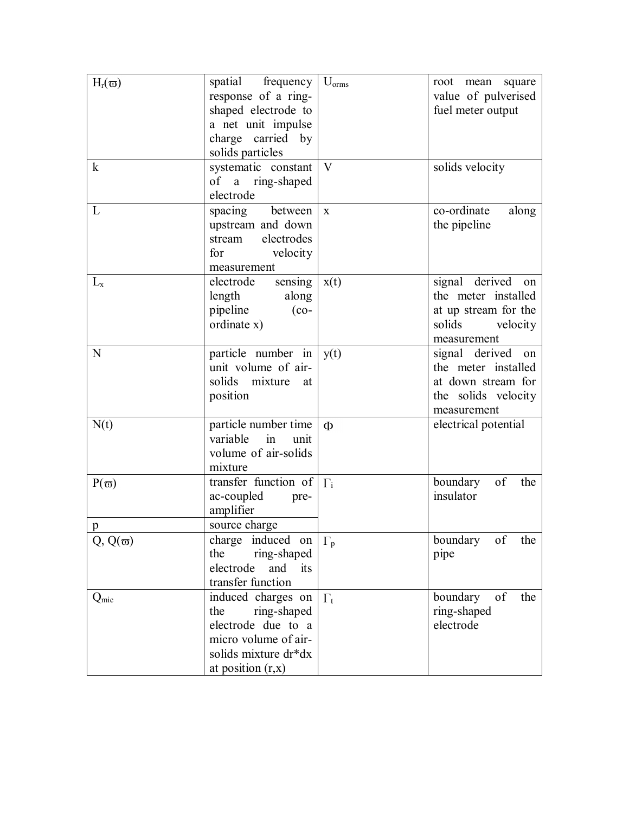| $H_r(\varpi)$    | spatial frequency<br>response of a ring-<br>shaped electrode to<br>a net unit impulse<br>charge carried by<br>solids particles         | $U_{\text{orms}}$ | root mean<br>square<br>value of pulverised<br>fuel meter output                                          |
|------------------|----------------------------------------------------------------------------------------------------------------------------------------|-------------------|----------------------------------------------------------------------------------------------------------|
| $\bf k$          | systematic constant<br>of a ring-shaped<br>electrode                                                                                   | V                 | solids velocity                                                                                          |
| L                | spacing<br>between<br>upstream and down<br>electrodes<br>stream<br>velocity<br>for<br>measurement                                      | $\mathbf X$       | co-ordinate<br>along<br>the pipeline                                                                     |
| $L_{x}$          | sensing<br>electrode<br>length<br>along<br>pipeline<br>$(co-$<br>ordinate x)                                                           | x(t)              | signal derived<br>on<br>the meter installed<br>at up stream for the<br>solids<br>velocity<br>measurement |
| N                | particle number in<br>unit volume of air-<br>solids<br>mixture<br>at<br>position                                                       | y(t)              | signal derived<br>on<br>the meter installed<br>at down stream for<br>the solids velocity<br>measurement  |
| N(t)             | particle number time<br>variable<br>in<br>unit<br>volume of air-solids<br>mixture                                                      | $\Phi$            | electrical potential                                                                                     |
| $P(\varpi)$<br>p | transfer function of<br>ac-coupled<br>pre-<br>amplifier<br>source charge                                                               | $\Gamma_i$        | of<br>boundary<br>the<br>insulator                                                                       |
| $Q, Q(\varpi)$   | charge induced on<br>the<br>ring-shaped<br>electrode<br>and<br>its<br>transfer function                                                | $\Gamma_{p}$      | boundary<br>the<br>of<br>pipe                                                                            |
| Q <sub>mic</sub> | induced charges on<br>ring-shaped<br>the<br>electrode due to a<br>micro volume of air-<br>solids mixture dr*dx<br>at position $(r, x)$ | $\Gamma_{t}$      | of<br>boundary<br>the<br>ring-shaped<br>electrode                                                        |